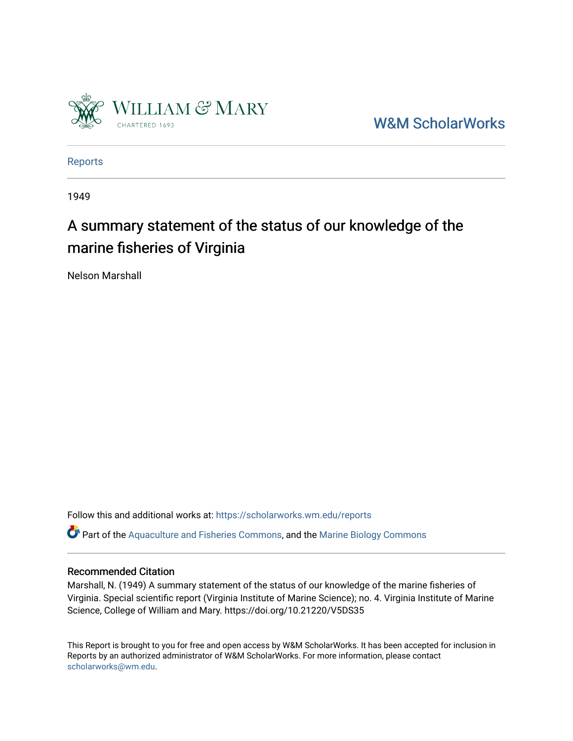

[W&M ScholarWorks](https://scholarworks.wm.edu/) 

[Reports](https://scholarworks.wm.edu/reports)

1949

# A summary statement of the status of our knowledge of the marine fisheries of Virginia

Nelson Marshall

Follow this and additional works at: [https://scholarworks.wm.edu/reports](https://scholarworks.wm.edu/reports?utm_source=scholarworks.wm.edu%2Freports%2F103&utm_medium=PDF&utm_campaign=PDFCoverPages)

Part of the [Aquaculture and Fisheries Commons](http://network.bepress.com/hgg/discipline/78?utm_source=scholarworks.wm.edu%2Freports%2F103&utm_medium=PDF&utm_campaign=PDFCoverPages), and the [Marine Biology Commons](http://network.bepress.com/hgg/discipline/1126?utm_source=scholarworks.wm.edu%2Freports%2F103&utm_medium=PDF&utm_campaign=PDFCoverPages) 

# Recommended Citation

Marshall, N. (1949) A summary statement of the status of our knowledge of the marine fisheries of Virginia. Special scientific report (Virginia Institute of Marine Science); no. 4. Virginia Institute of Marine Science, College of William and Mary. https://doi.org/10.21220/V5DS35

This Report is brought to you for free and open access by W&M ScholarWorks. It has been accepted for inclusion in Reports by an authorized administrator of W&M ScholarWorks. For more information, please contact [scholarworks@wm.edu.](mailto:scholarworks@wm.edu)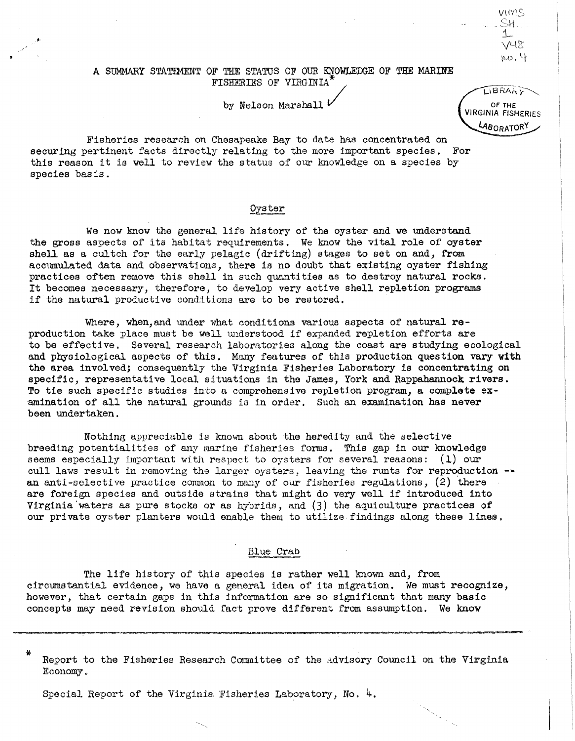#### A SUMMARY STATEMENT OF THE STATUS OF OUR KNOWLEDGE OF THE MARINE FISHERIES OF VIRGINIA

by Nelson Marshall  $\iota$ 

Fisheries research on Chesapeake Bay to date has concentrated on securing pertinent facts directly relating to the more important species. For this reason it is *well* to review the status of our knowledge on a species by species basis.

•

## Oyster

We now know the general life history of the oyster and we understand the gross aspects of ita habitat requirements. We know the vital role of oyster shell as a cultch for the early pelagic (drifting) stages to set on and, from accumulated data and observations, there is no doubt that existing oyster fishing practices often remove this shell in such quantities as to destroy natural rocks. It becomes necessary, therefore, to develop very active shell repletion programs if the natural productive conditions are to be restored.

Where, when, and under what conditions various aspects of natural  $re$ production take place must be well understood if expanded repletion efforts are to be effective. Several research laboratories along the coast are studying ecological and physiological aspects of this. Many features of this production question vary with the area involved; consequently the Virginia Fisheries Laboratory is concentrating on specific, representative local situations in the James, York and Rappahannock rivers. To tie such specific studies into a comprehensive repletion program, a complete examination of all the natural grounds is in order. Such an examination has never been undertaken.

Nothing appreciable is known about the heredity and the selective breeding potentialities of any marine fisheries forms. This gap in our knowledge seems especially important with respect to oysters for several reasons:  $(1)$  our cull laws result in removing the larger oysters, leaving the runts for reproduction -an anti-selective practice common to many of our fisheries regulations,  $(2)$  there are foreign species and outside strains that might do very well if introduced into Virginia'waters as pure stocks or as hybrids, and (3) the aquiculture practices of our private oyster planters would enable them to utilize.findings along these lines.

#### Blue Crab

The life history of this species is rather well known and, from circumstantial evidence, we have a general idea of its migration. We must recognize, however, that certain gaps in this information are so significant that many basic concepts may need revision should fact prove different from assumption. We know

Report to the Fisheries Research Committee of the Advisory Council on the Virginia Economy.

Special Report of the Virginia Fisheries Laboratory, No.  $4$ .

LIBRARY OF THE **VIRGINIA FISHERIES** LABORATORY

VIMS<br>SH.  $1 V^{\text{L}}$  $\mu$ o, 4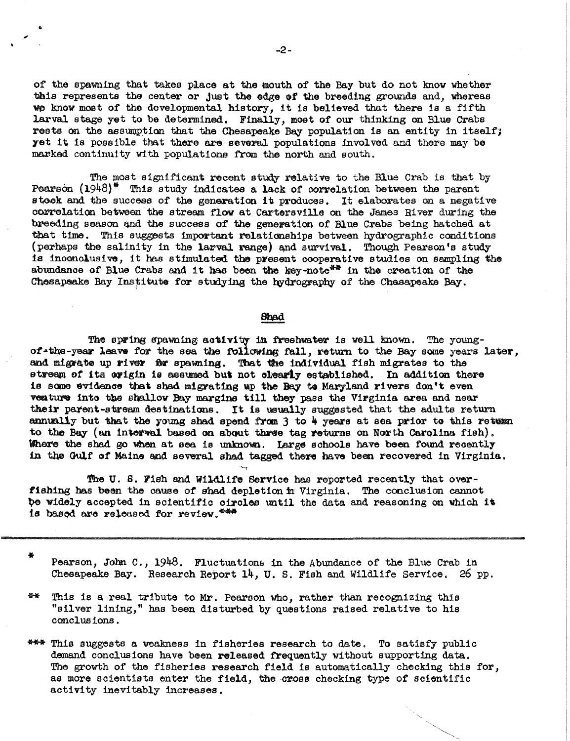of the spawning that takes place at the mouth of the Bay but do not know whether this represents the center or just the edge of the breeding grounds and, whereas we know most of the developmental history, it is believed that there is a fifth larval stage yet to be determined. Finally, most of our thinking on Blue Crabs rests on the assumption that the Chesapeake Bay population is an entity in itself; yet it is possible that there are several populations involved and there may be marked continuity with populations from the north and south.

The most significant recent study relative to the Blue Crab is that by Pearson  $(1948)^*$  This study indicates a lack of correlation between the parent stock and the success of the generation it produces. It elaborates on a negative correlation between the stream flow at Cartersville on the James River during the breeding season and the success of the generation of Blue Crabs being hatched at that time. This suggests important relationships between hydrographic conditions (perhaps the salinity in the larval range) and survival. Though Pearson's study is inconclusive, it has stimulated the present cooperative studies on sampling the abundance of Blue Crabs and it has been the key-note<sup>\*\*</sup> in the creation of the Chesapeake Bay Institute for studying the hydrography of the Chesapeake Bay.

#### Shad

The spring spawning activity in freshwater is well known. The youngof the-year leave for the sea the following fall, return to the Bay some years later, and migrate up river for spawning. That the individual fish migrates to the stream of its avigin is assumed but not clearly established. In addition there is some evidence that shad migrating up the Bay to Maryland rivers don't even venture into the shallow Bay margins till they pass the Virginia area and near their parent-stream destinations. It is usually suggested that the adults return annually but that the young shad spend from 3 to 4 years at sea prior to this return to the Bay (an interval based on about three tag returns on North Carolina fish). Where the shad go when at sea is unknown. Large schools have been found recently in the Gulf of Maine and several shad tagged there have been recovered in Virginia.

The U.S. Fish and Wildlife Service has reported recently that overfishing has been the cause of shad depletion in Virginia. The conclusion cannot be widely accepted in scientific circles until the data and reasoning on which it is based are released for review.

Pearson, John C., 1948. Fluctuations in the Abundance of the Blue Crab in Chesapeake Bay. Research Report 14, U.S. Fish and Wildlife Service. 26 pp.

备业 This is a real tribute to Mr. Pearson who, rather than recognizing this "silver lining," has been disturbed by questions raised relative to his conclusions.

\*\*\* This suggests a weakness in fisheries research to date. To satisfy public demand conclusions have been released frequently without supporting data. The growth of the fisheries research field is automatically checking this for, as more scientists enter the field, the cross checking type of scientific activity inevitably increases.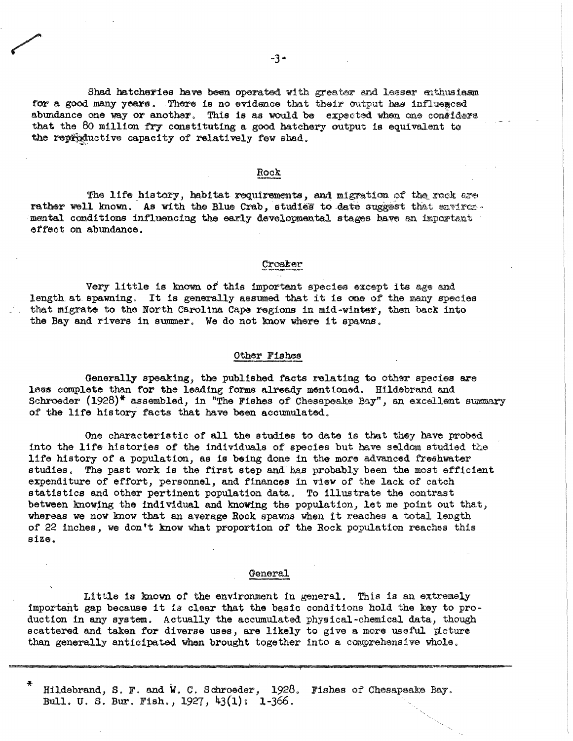Shad hatcheries have been operated with greater and lesser enthusiasm for a good many years. There is no evidence that their output has influenced abundance one way or another. This is as would be expected when one considers that the 80 million fry constituting a good hatchery output is equivalent to the reproductive capacity of relatively few shad.

#### Rock

The life history, habitat requirements, and migration of the rock are rather well known. As with the Blue Crab, studies to date suggest that environmental conditions influencing the early developmental stages have an important effect on abundance.

### Crosker

Very little is known of this important species except its age and length at spawning. It is generally assumed that it is one of the many species that migrate to the North Carolina Cape regions in mid-winter, then back into the Bay and rivers in summer. We do not know where it spawns.

#### Other Fishes

Generally speaking, the published facts relating to other species are less complete than for the leading forms already mentioned. Hildebrand and Schroeder (1928)\* assembled, in "The Fishes of Chesapeake Bay", an excellent summary of the life history facts that have been accumulated.

One characteristic of all the studies to date is that they have probed into the life histories of the individuals of species but have seldom studied the life history of a population, as is being done in the more advanced freshwater studies. The past work is the first step and has probably been the most efficient expenditure of effort, personnel, and finances in view of the lack of catch statistics and other pertinent population data. To illustrate the contrast between knowing the individual and knowing the population, let me point out that, whereas we now know that an average Rock spawns when it reaches a total length of 22 inches, we don't know what proportion of the Rock population reaches this size.

#### General

Little is known of the environment in general. This is an extremely important gap because it is clear that the basic conditions hold the key to production in any system. Actually the accumulated physical-chemical data, though scattered and taken for diverse uses, are likely to give a more useful picture than generally anticipated when brought together into a comprehensive whole.

Hildebrand, S. F. and W. C. Schroeder, 1928. Fishes of Chesapeake Bay. Bull. U. S. Bur. Fish.,  $1927, 43(1)$ : 1-366.